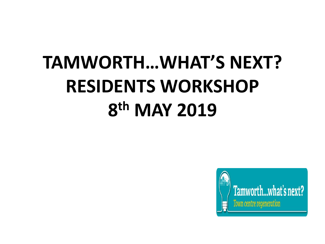# **TAMWORTH…WHAT'S NEXT? RESIDENTS WORKSHOP 8 th MAY 2019**

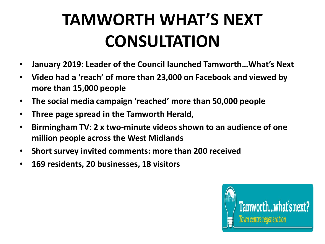# **TAMWORTH WHAT'S NEXT CONSULTATION**

- **January 2019: Leader of the Council launched Tamworth…What's Next**
- **Video had a 'reach' of more than 23,000 on Facebook and viewed by more than 15,000 people**
- **The social media campaign 'reached' more than 50,000 people**
- **Three page spread in the Tamworth Herald,**
- **Birmingham TV: 2 x two-minute videos shown to an audience of one million people across the West Midlands**
- **Short survey invited comments: more than 200 received**
- **169 residents, 20 businesses, 18 visitors**

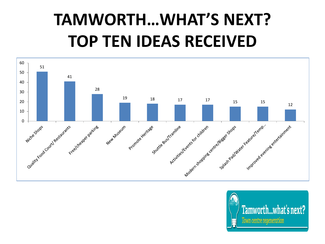# **TAMWORTH…WHAT'S NEXT? TOP TEN IDEAS RECEIVED**



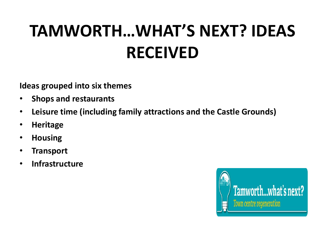# **TAMWORTH…WHAT'S NEXT? IDEAS RECEIVED**

**Ideas grouped into six themes**

- **Shops and restaurants**
- **Leisure time (including family attractions and the Castle Grounds)**
- **Heritage**
- **Housing**
- **Transport**
- **Infrastructure**

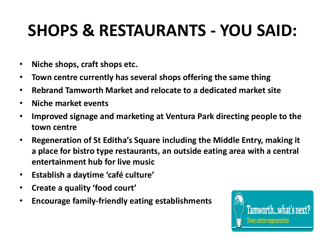## **SHOPS & RESTAURANTS - YOU SAID:**

- **Niche shops, craft shops etc.**
- **Town centre currently has several shops offering the same thing**
- **Rebrand Tamworth Market and relocate to a dedicated market site**
- **Niche market events**
- **Improved signage and marketing at Ventura Park directing people to the town centre**
- **Regeneration of St Editha's Square including the Middle Entry, making it a place for bistro type restaurants, an outside eating area with a central entertainment hub for live music**
- **Establish a daytime 'café culture'**
- **Create a quality 'food court'**
- **Encourage family-friendly eating establishments**

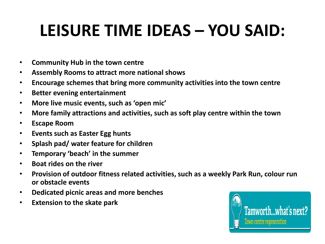## **LEISURE TIME IDEAS – YOU SAID:**

- **Community Hub in the town centre**
- **Assembly Rooms to attract more national shows**
- **Encourage schemes that bring more community activities into the town centre**
- **Better evening entertainment**
- **More live music events, such as 'open mic'**
- **More family attractions and activities, such as soft play centre within the town**
- **Escape Room**
- **Events such as Easter Egg hunts**
- **Splash pad/ water feature for children**
- **Temporary 'beach' in the summer**
- **Boat rides on the river**
- **Provision of outdoor fitness related activities, such as a weekly Park Run, colour run or obstacle events**
- **Dedicated picnic areas and more benches**
- **Extension to the skate park**

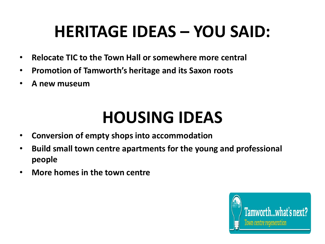#### **HERITAGE IDEAS – YOU SAID:**

- **Relocate TIC to the Town Hall or somewhere more central**
- **Promotion of Tamworth's heritage and its Saxon roots**
- **A new museum**

#### **HOUSING IDEAS**

- **Conversion of empty shops into accommodation**
- **Build small town centre apartments for the young and professional people**
- **More homes in the town centre**

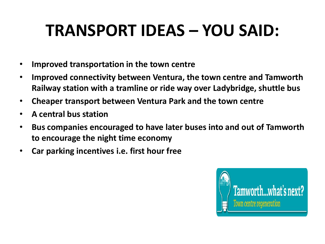## **TRANSPORT IDEAS – YOU SAID:**

- **Improved transportation in the town centre**
- **Improved connectivity between Ventura, the town centre and Tamworth Railway station with a tramline or ride way over Ladybridge, shuttle bus**
- **Cheaper transport between Ventura Park and the town centre**
- **A central bus station**
- **Bus companies encouraged to have later buses into and out of Tamworth to encourage the night time economy**
- **Car parking incentives i.e. first hour free**

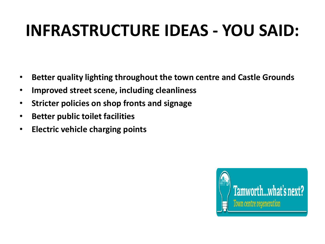#### **INFRASTRUCTURE IDEAS - YOU SAID:**

- **Better quality lighting throughout the town centre and Castle Grounds**
- **Improved street scene, including cleanliness**
- **Stricter policies on shop fronts and signage**
- **Better public toilet facilities**
- **Electric vehicle charging points**